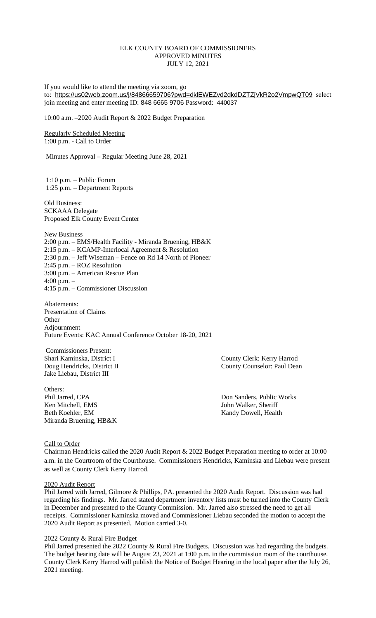### ELK COUNTY BOARD OF COMMISSIONERS APPROVED MINUTES JULY 12, 2021

If you would like to attend the meeting via zoom, go to: <https://us02web.zoom.us/j/84866659706?pwd=dklEWEZvd2dkdDZTZjVkR2o2VmpwQT09> select join meeting and enter meeting ID: 848 6665 9706 Password: 440037

10:00 a.m. –2020 Audit Report & 2022 Budget Preparation

Regularly Scheduled Meeting 1:00 p.m. - Call to Order

Minutes Approval – Regular Meeting June 28, 2021

1:10 p.m. – Public Forum 1:25 p.m. – Department Reports

Old Business: SCKAAA Delegate Proposed Elk County Event Center

New Business 2:00 p.m. – EMS/Health Facility - Miranda Bruening, HB&K 2:15 p.m. – KCAMP-Interlocal Agreement & Resolution 2:30 p.m. – Jeff Wiseman – Fence on Rd 14 North of Pioneer 2:45 p.m. – ROZ Resolution 3:00 p.m. – American Rescue Plan 4:00 p.m. – 4:15 p.m. – Commissioner Discussion

Abatements: Presentation of Claims **Other** Adjournment Future Events: KAC Annual Conference October 18-20, 2021

Commissioners Present: Jake Liebau, District III

Others: Phil Jarred, CPA Don Sanders, Public Works Ken Mitchell, EMS John Walker, Sheriff Beth Koehler, EM Kandy Dowell, Health Miranda Bruening, HB&K

Shari Kaminska, District I County Clerk: Kerry Harrod Doug Hendricks, District II County County Counselor: Paul Dean

#### Call to Order

Chairman Hendricks called the 2020 Audit Report & 2022 Budget Preparation meeting to order at 10:00 a.m. in the Courtroom of the Courthouse. Commissioners Hendricks, Kaminska and Liebau were present as well as County Clerk Kerry Harrod.

#### 2020 Audit Report

Phil Jarred with Jarred, Gilmore & Phillips, PA. presented the 2020 Audit Report. Discussion was had regarding his findings. Mr. Jarred stated department inventory lists must be turned into the County Clerk in December and presented to the County Commission. Mr. Jarred also stressed the need to get all receipts. Commissioner Kaminska moved and Commissioner Liebau seconded the motion to accept the 2020 Audit Report as presented. Motion carried 3-0.

#### 2022 County & Rural Fire Budget

Phil Jarred presented the 2022 County & Rural Fire Budgets. Discussion was had regarding the budgets. The budget hearing date will be August 23, 2021 at 1:00 p.m. in the commission room of the courthouse. County Clerk Kerry Harrod will publish the Notice of Budget Hearing in the local paper after the July 26, 2021 meeting.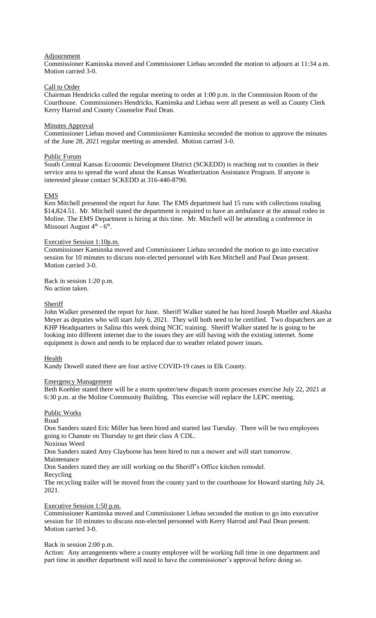### Adjournment

Commissioner Kaminska moved and Commissioner Liebau seconded the motion to adjourn at 11:34 a.m. Motion carried 3-0.

### Call to Order

Chairman Hendricks called the regular meeting to order at 1:00 p.m. in the Commission Room of the Courthouse. Commissioners Hendricks, Kaminska and Liebau were all present as well as County Clerk Kerry Harrod and County Counselor Paul Dean.

### Minutes Approval

Commissioner Liebau moved and Commissioner Kaminska seconded the motion to approve the minutes of the June 28, 2021 regular meeting as amended. Motion carried 3-0.

### Public Forum

South Central Kansas Economic Development District (SCKEDD) is reaching out to counties in their service area to spread the word about the Kansas Weatherization Assistance Program. If anyone is interested please contact SCKEDD at 316-440-8790.

### EMS

Ken Mitchell presented the report for June. The EMS department had 15 runs with collections totaling \$14,824.51. Mr. Mitchell stated the department is required to have an ambulance at the annual rodeo in Moline. The EMS Department is hiring at this time. Mr. Mitchell will be attending a conference in Missouri August  $4<sup>th</sup>$  -  $6<sup>th</sup>$ .

# Executive Session 1:10p.m.

Commissioner Kaminska moved and Commissioner Liebau seconded the motion to go into executive session for 10 minutes to discuss non-elected personnel with Ken Mitchell and Paul Dean present. Motion carried 3-0.

Back in session 1:20 p.m. No action taken.

### **Sheriff**

John Walker presented the report for June. Sheriff Walker stated he has hired Joseph Mueller and Akasha Meyer as deputies who will start July 6, 2021. They will both need to be certified. Two dispatchers are at KHP Headquarters in Salina this week doing NCIC training. Sheriff Walker stated he is going to be looking into different internet due to the issues they are still having with the existing internet. Some equipment is down and needs to be replaced due to weather related power issues.

#### Health

Kandy Dowell stated there are four active COVID-19 cases in Elk County.

#### Emergency Management

Beth Koehler stated there will be a storm spotter/new dispatch storm processes exercise July 22, 2021 at 6:30 p.m. at the Moline Community Building. This exercise will replace the LEPC meeting.

# Public Works

Road

Don Sanders stated Eric Miller has been hired and started last Tuesday. There will be two employees going to Chanute on Thursday to get their class A CDL.

Noxious Weed

Don Sanders stated Amy Clayborne has been hired to run a mower and will start tomorrow.

Maintenance

Don Sanders stated they are still working on the Sheriff's Office kitchen remodel.

Recycling

The recycling trailer will be moved from the county yard to the courthouse for Howard starting July 24, 2021.

#### Executive Session 1:50 p.m.

Commissioner Kaminska moved and Commissioner Liebau seconded the motion to go into executive session for 10 minutes to discuss non-elected personnel with Kerry Harrod and Paul Dean present. Motion carried 3-0.

#### Back in session 2:00 p.m.

Action: Any arrangements where a county employee will be working full time in one department and part time in another department will need to have the commissioner's approval before doing so.